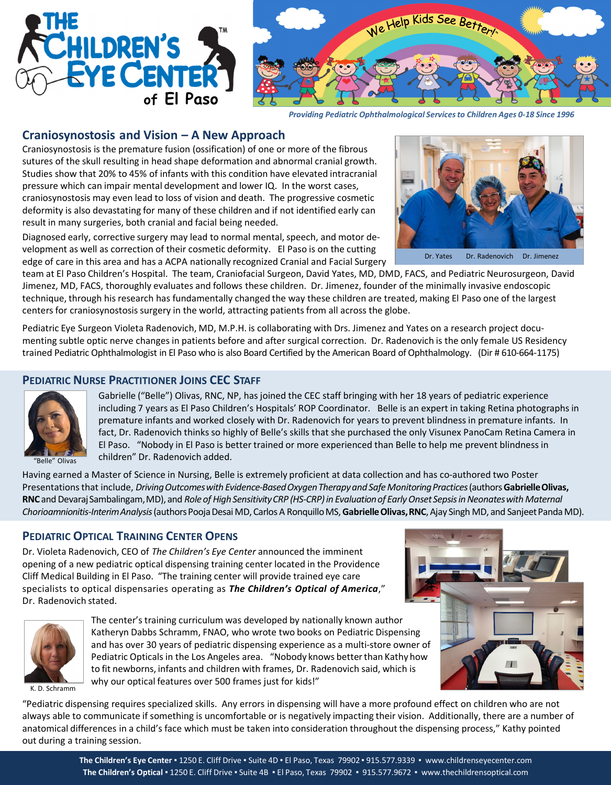



*Providing Pediatric Ophthalmological Services to Children Ages 0-18 Since 1996*

### **Craniosynostosis and Vision – A New Approach**

Craniosynostosis is the premature fusion (ossification) of one or more of the fibrous sutures of the skull resulting in head shape deformation and abnormal cranial growth. Studies show that 20% to 45% of infants with this condition have elevated intracranial pressure which can impair mental development and lower IQ. In the worst cases, craniosynostosis may even lead to loss of vision and death. The progressive cosmetic deformity is also devastating for many of these children and if not identified early can result in many surgeries, both cranial and facial being needed.

Diagnosed early, corrective surgery may lead to normal mental, speech, and motor development as well as correction of their cosmetic deformity. El Paso is on the cutting edge of care in this area and has a ACPA nationally recognized Cranial and Facial Surgery

team at El Paso Children's Hospital. The team, Craniofacial Surgeon, David Yates, MD, DMD, FACS, and Pediatric Neurosurgeon, David Jimenez, MD, FACS, thoroughly evaluates and follows these children. Dr. Jimenez, founder of the minimally invasive endoscopic technique, through his research has fundamentally changed the way these children are treated, making El Paso one of the largest centers for craniosynostosis surgery in the world, attracting patients from all across the globe.

Pediatric Eye Surgeon Violeta Radenovich, MD, M.P.H. is collaborating with Drs. Jimenez and Yates on a research project documenting subtle optic nerve changes in patients before and after surgical correction. Dr. Radenovich is the only female US Residency trained Pediatric Ophthalmologist in El Paso who is also Board Certified by the American Board of Ophthalmology. (Dir # 610-664-1175)

### **PEDIATRIC NURSE PRACTITIONER JOINS CEC STAFF**



Gabrielle ("Belle") Olivas, RNC, NP, has joined the CEC staff bringing with her 18 years of pediatric experience including 7 years as El Paso Children's Hospitals' ROP Coordinator. Belle is an expert in taking Retina photographs in premature infants and worked closely with Dr. Radenovich for years to prevent blindness in premature infants. In fact, Dr. Radenovich thinks so highly of Belle's skills that she purchased the only Visunex PanoCam Retina Camera in El Paso. "Nobody in El Paso is better trained or more experienced than Belle to help me prevent blindness in children" Dr. Radenovich added.

Having earned a Master of Science in Nursing, Belle is extremely proficient at data collection and has co-authored two Poster Presentations that include, *Driving Outcomes with Evidence-Based Oxygen Therapy and Safe Monitoring Practices* (authors Gabrielle Olivas, **RNC**and DevarajSambalingam,MD), and *Role of High SensitivityCRP (HS-CRP) in Evaluationof EarlyOnset Sepsis in Neonateswith Maternal Chorioamnionitis-InterimAnalysis*(authors PoojaDesaiMD, Carlos A RonquilloMS,**GabrielleOlivas,RNC**, Ajay Singh MD, and SanjeetPandaMD).

### **PEDIATRIC OPTICAL TRAINING CENTER OPENS**

Dr. Violeta Radenovich, CEO of *The Children's Eye Center* announced the imminent opening of a new pediatric optical dispensing training center located in the Providence Cliff Medical Building in El Paso. "The training center will provide trained eye care specialists to optical dispensaries operating as *The Children's Optical of America*," Dr. Radenovich stated.



The center's training curriculum was developed by nationally known author Katheryn Dabbs Schramm, FNAO, who wrote two books on Pediatric Dispensing and has over 30 years of pediatric dispensing experience as a multi-store owner of Pediatric Opticals in the Los Angeles area. "Nobody knows better than Kathy how to fit newborns, infants and children with frames, Dr. Radenovich said, which is why our optical features over 500 frames just for kids!"



K. D. Schramm

"Pediatric dispensing requires specialized skills. Any errors in dispensing will have a more profound effect on children who are not always able to communicate if something is uncomfortable or is negatively impacting their vision. Additionally, there are a number of anatomical differences in a child's face which must be taken into consideration throughout the dispensing process," Kathy pointed out during a training session.



Dr. Yates Dr. Radenovich Dr. Jimenez